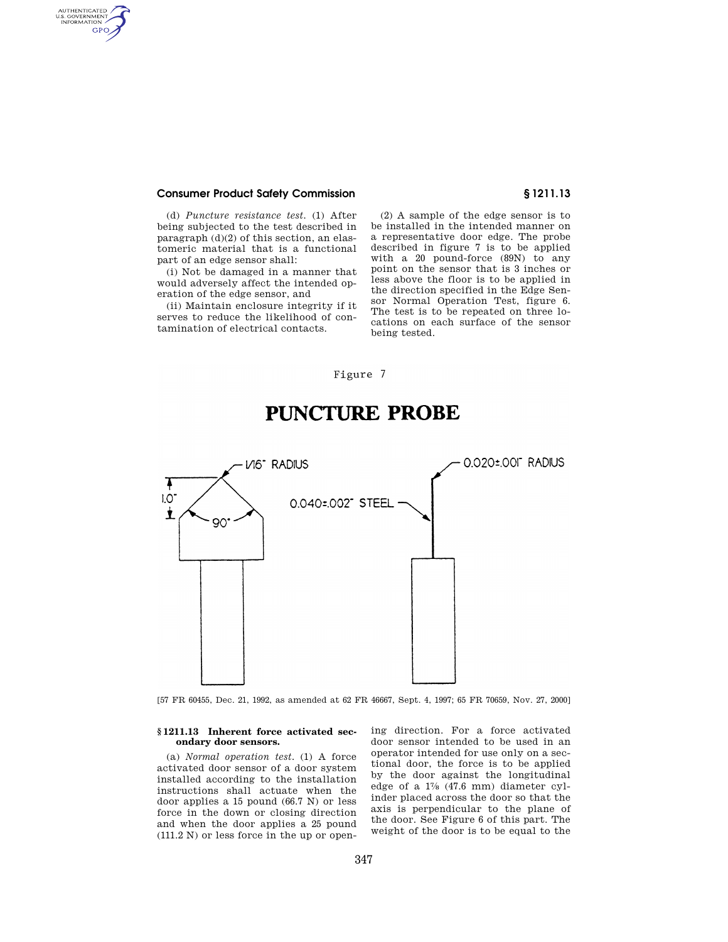## **Consumer Product Safety Commission § 1211.13**

AUTHENTICATED<br>U.S. GOVERNMENT<br>INFORMATION GPO

> (d) *Puncture resistance test.* (1) After being subjected to the test described in paragraph (d)(2) of this section, an elastomeric material that is a functional part of an edge sensor shall:

> (i) Not be damaged in a manner that would adversely affect the intended operation of the edge sensor, and

> (ii) Maintain enclosure integrity if it serves to reduce the likelihood of contamination of electrical contacts.

(2) A sample of the edge sensor is to be installed in the intended manner on a representative door edge. The probe described in figure 7 is to be applied with a 20 pound-force (89N) to any point on the sensor that is 3 inches or less above the floor is to be applied in the direction specified in the Edge Sensor Normal Operation Test, figure 6. The test is to be repeated on three locations on each surface of the sensor being tested.

## Figure 7



# PUNCTURE PROBE

[57 FR 60455, Dec. 21, 1992, as amended at 62 FR 46667, Sept. 4, 1997; 65 FR 70659, Nov. 27, 2000]

#### **§ 1211.13 Inherent force activated secondary door sensors.**

(a) *Normal operation test.* (1) A force activated door sensor of a door system installed according to the installation instructions shall actuate when the door applies a 15 pound (66.7 N) or less force in the down or closing direction and when the door applies a 25 pound (111.2 N) or less force in the up or opening direction. For a force activated door sensor intended to be used in an operator intended for use only on a sectional door, the force is to be applied by the door against the longitudinal edge of a 17⁄8 (47.6 mm) diameter cylinder placed across the door so that the axis is perpendicular to the plane of the door. See Figure 6 of this part. The weight of the door is to be equal to the